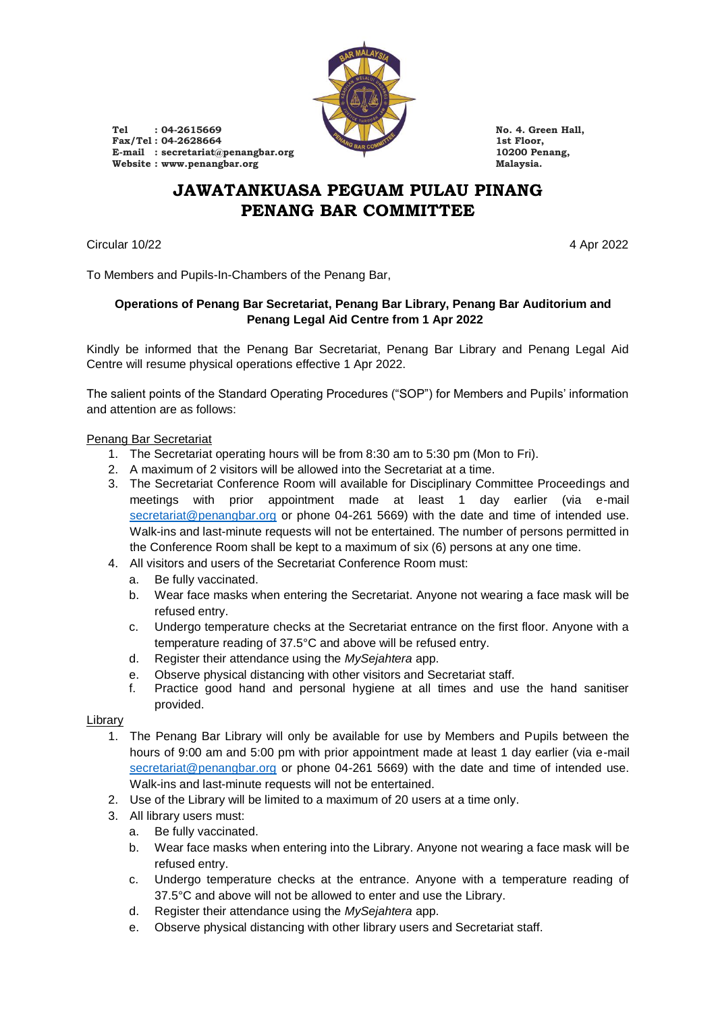

Tel **: 04-2615669 No. 4. Green Hall, Fax/Tel :** 04-2628664 **1st Floor,** 1st Floor, 1st Floor, 1st Floor, 1st Floor, 10200 Penang, **E-mail : secretariat@penangbar.org 10200 Penang, Website : www.penangbar.org Malaysia.**

# **JAWATANKUASA PEGUAM PULAU PINANG PENANG BAR COMMITTEE**

Circular 10/22 4 Apr 2022

To Members and Pupils-In-Chambers of the Penang Bar,

## **Operations of Penang Bar Secretariat, Penang Bar Library, Penang Bar Auditorium and Penang Legal Aid Centre from 1 Apr 2022**

Kindly be informed that the Penang Bar Secretariat, Penang Bar Library and Penang Legal Aid Centre will resume physical operations effective 1 Apr 2022.

The salient points of the Standard Operating Procedures ("SOP") for Members and Pupils' information and attention are as follows:

## Penang Bar Secretariat

- 1. The Secretariat operating hours will be from 8:30 am to 5:30 pm (Mon to Fri).
- 2. A maximum of 2 visitors will be allowed into the Secretariat at a time.
- 3. The Secretariat Conference Room will available for Disciplinary Committee Proceedings and meetings with prior appointment made at least 1 day earlier (via e-mail [secretariat@penangbar.org](mailto:secretariat@penangbar.org) or phone 04-261 5669) with the date and time of intended use. Walk-ins and last-minute requests will not be entertained. The number of persons permitted in the Conference Room shall be kept to a maximum of six (6) persons at any one time.
- 4. All visitors and users of the Secretariat Conference Room must:
	- a. Be fully vaccinated.
	- b. Wear face masks when entering the Secretariat. Anyone not wearing a face mask will be refused entry.
	- c. Undergo temperature checks at the Secretariat entrance on the first floor. Anyone with a temperature reading of 37.5°C and above will be refused entry.
	- d. Register their attendance using the *MySejahtera* app.
	- e. Observe physical distancing with other visitors and Secretariat staff.
	- f. Practice good hand and personal hygiene at all times and use the hand sanitiser provided.

## **Library**

- 1. The Penang Bar Library will only be available for use by Members and Pupils between the hours of 9:00 am and 5:00 pm with prior appointment made at least 1 day earlier (via e-mail [secretariat@penangbar.org](mailto:secretariat@penangbar.org) or phone 04-261 5669) with the date and time of intended use. Walk-ins and last-minute requests will not be entertained.
- 2. Use of the Library will be limited to a maximum of 20 users at a time only.
- 3. All library users must:
	- a. Be fully vaccinated.
	- b. Wear face masks when entering into the Library. Anyone not wearing a face mask will be refused entry.
	- c. Undergo temperature checks at the entrance. Anyone with a temperature reading of 37.5°C and above will not be allowed to enter and use the Library.
	- d. Register their attendance using the *MySejahtera* app.
	- e. Observe physical distancing with other library users and Secretariat staff.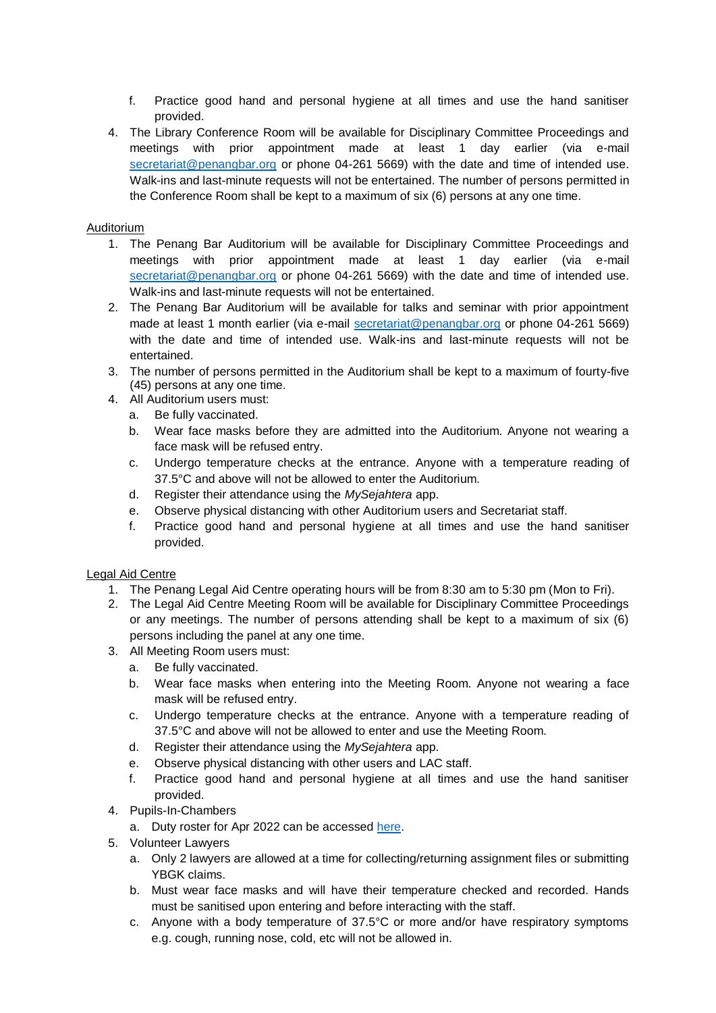- f. Practice good hand and personal hygiene at all times and use the hand sanitiser provided.
- 4. The Library Conference Room will be available for Disciplinary Committee Proceedings and meetings with prior appointment made at least 1 day earlier (via e-mail [secretariat@penangbar.org](mailto:secretariat@penangbar.org) or phone 04-261 5669) with the date and time of intended use. Walk-ins and last-minute requests will not be entertained. The number of persons permitted in the Conference Room shall be kept to a maximum of six (6) persons at any one time.

#### Auditorium

- 1. The Penang Bar Auditorium will be available for Disciplinary Committee Proceedings and meetings with prior appointment made at least 1 day earlier (via e-mail [secretariat@penangbar.org](mailto:secretariat@penangbar.org) or phone 04-261 5669) with the date and time of intended use. Walk-ins and last-minute requests will not be entertained.
- 2. The Penang Bar Auditorium will be available for talks and seminar with prior appointment made at least 1 month earlier (via e-mail [secretariat@penangbar.org](mailto:secretariat@penangbar.org) or phone 04-261 5669) with the date and time of intended use. Walk-ins and last-minute requests will not be entertained.
- 3. The number of persons permitted in the Auditorium shall be kept to a maximum of fourty-five (45) persons at any one time.
- 4. All Auditorium users must:
	- a. Be fully vaccinated.
	- b. Wear face masks before they are admitted into the Auditorium. Anyone not wearing a face mask will be refused entry.
	- c. Undergo temperature checks at the entrance. Anyone with a temperature reading of 37.5°C and above will not be allowed to enter the Auditorium.
	- d. Register their attendance using the *MySejahtera* app.
	- e. Observe physical distancing with other Auditorium users and Secretariat staff.
	- f. Practice good hand and personal hygiene at all times and use the hand sanitiser provided.

#### Legal Aid Centre

- 1. The Penang Legal Aid Centre operating hours will be from 8:30 am to 5:30 pm (Mon to Fri).
- 2. The Legal Aid Centre Meeting Room will be available for Disciplinary Committee Proceedings or any meetings. The number of persons attending shall be kept to a maximum of six (6) persons including the panel at any one time.
- 3. All Meeting Room users must:
	- a. Be fully vaccinated.
	- b. Wear face masks when entering into the Meeting Room. Anyone not wearing a face mask will be refused entry.
	- c. Undergo temperature checks at the entrance. Anyone with a temperature reading of 37.5°C and above will not be allowed to enter and use the Meeting Room.
	- d. Register their attendance using the *MySejahtera* app.
	- e. Observe physical distancing with other users and LAC staff.
	- f. Practice good hand and personal hygiene at all times and use the hand sanitiser provided.
- 4. Pupils-In-Chambers
	- a. Duty roster for Apr 2022 can be accessed [here.](https://penangbar.org/wp-content/uploads/2022/03/PLAC-Pupils-Duty-Roster-April-2022.pdf)
- 5. Volunteer Lawyers
	- a. Only 2 lawyers are allowed at a time for collecting/returning assignment files or submitting YBGK claims.
	- b. Must wear face masks and will have their temperature checked and recorded. Hands must be sanitised upon entering and before interacting with the staff.
	- c. Anyone with a body temperature of 37.5°C or more and/or have respiratory symptoms e.g. cough, running nose, cold, etc will not be allowed in.